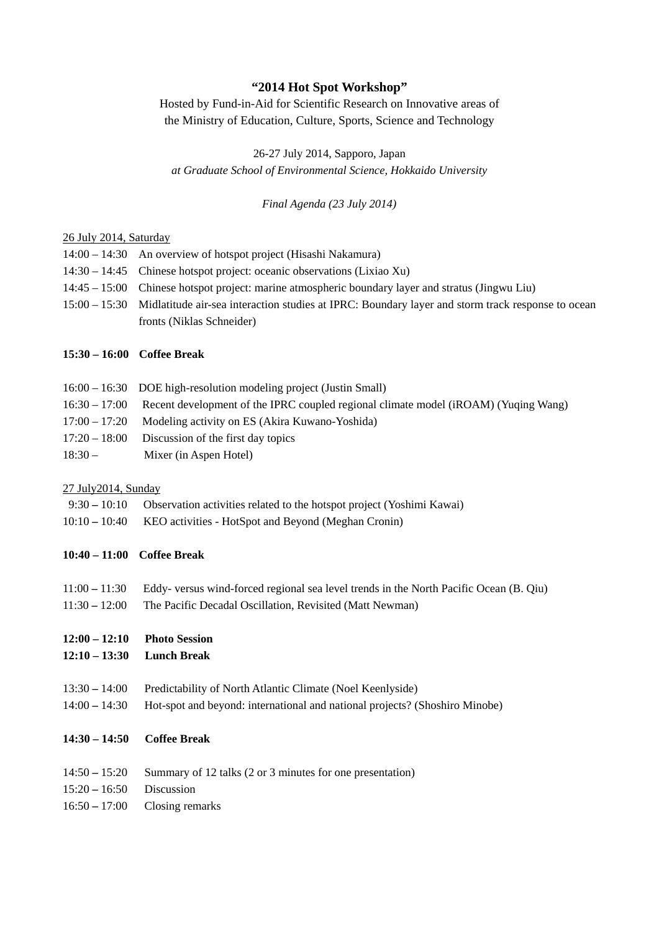# **"2014 Hot Spot Workshop"**

Hosted by Fund-in-Aid for Scientific Research on Innovative areas of the Ministry of Education, Culture, Sports, Science and Technology

26-27 July 2014, Sapporo, Japan *at Graduate School of Environmental Science, Hokkaido University* 

*Final Agenda (23 July 2014)* 

### 26 July 2014, Saturday

- 14:00 14:30 An overview of hotspot project (Hisashi Nakamura) 14:30 – 14:45 Chinese hotspot project: oceanic observations (Lixiao Xu) 14:45 – 15:00 Chinese hotspot project: marine atmospheric boundary layer and stratus (Jingwu Liu) 15:00 – 15:30 Midlatitude air-sea interaction studies at IPRC: Boundary layer and storm track response to ocean
- fronts (Niklas Schneider)

### **15:30 – 16:00 Coffee Break**

- 16:00 16:30 DOE high-resolution modeling project (Justin Small)
- 16:30 17:00 Recent development of the IPRC coupled regional climate model (iROAM) (Yuqing Wang)
- 17:00 17:20 Modeling activity on ES (Akira Kuwano-Yoshida)
- 17:20 18:00 Discussion of the first day topics
- 18:30 Mixer (in Aspen Hotel)

### 27 July2014, Sunday

- 9:30 10:10Observation activities related to the hotspot project (Yoshimi Kawai)
- 10:10 10:40KEO activities HotSpot and Beyond (Meghan Cronin)

# **10:40 – 11:00 Coffee Break**

- 11:00 **–** 11:30 Eddy- versus wind-forced regional sea level trends in the North Pacific Ocean (B. Qiu)
- 11:30 **–** 12:00 The Pacific Decadal Oscillation, Revisited (Matt Newman)
- **12:00 12:10 Photo Session**
- **12:10 13:30 Lunch Break**
- 13:3014:00 Predictability of North Atlantic Climate (Noel Keenlyside)
- 14:0014:30 Hot-spot and beyond: international and national projects? (Shoshiro Minobe)

# **14:30 – 14:50 Coffee Break**

- 14:5015:20 Summary of 12 talks (2 or 3 minutes for one presentation)
- 15:2016:50 Discussion
- 16:5017:00 Closing remarks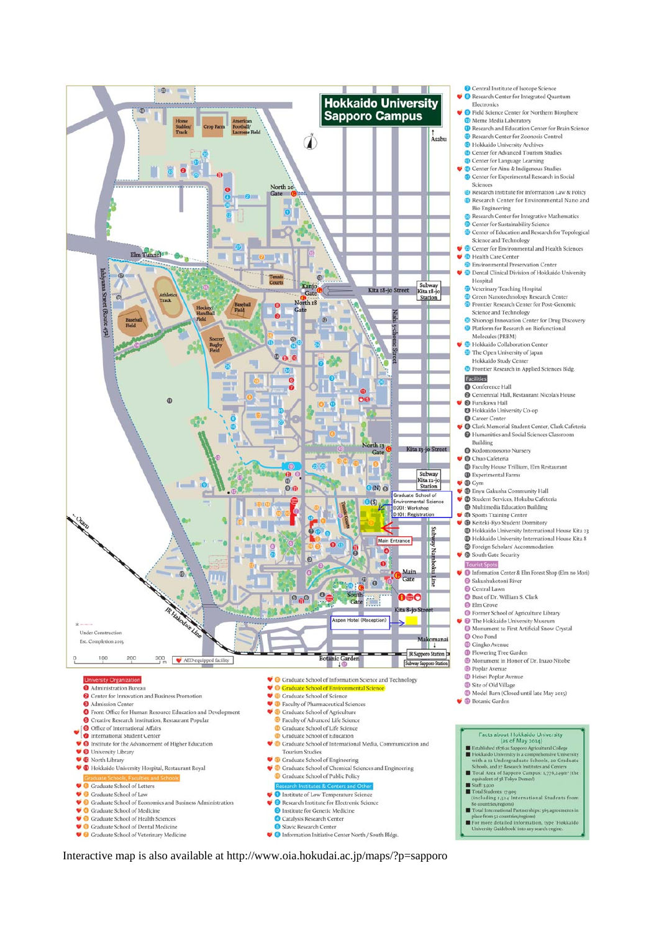

Interactive map is also available at http://www.oia.hokudai.ac.jp/maps/?p=sapporo

Central Institute of Isotope Science Research Center for Integrated Quantum

Electronics

<sup>O</sup> Field Science Center for Northern Biosphere <sup>60</sup> Meme Media Laboratory

Research and Education Center for Brain Science <sup>1</sup> Research Center for Zoonosis Control

- <sup>®</sup> Hokkaido University Archives
- C Center for Advanced Tourism Studies

Center for Language Learning

Center for Ainu & Indigenous Studies  $\bullet$  Center for Experimental Research in Social Sciences

<sup>1</sup> Research Institute for Information Law & Policy <sup>1</sup> Research Center for Environmental Nano and

**Bio Engineering Co** Research Center for Integrative Mathematics

Center for Sustainability Science

Center of Education and Research for Topological<br>Science and Technology

Center for Environmental and Health Sciences

Health Care Center

**C** Environmental Preservation Center

Dental Clinical Division of Hokkaido University Hospital

Veterinary Teaching Hospital

<sup>5</sup> Green Nanotechnology Research Center

Frontier Research Center for Post-Genomic

Science and Technology

Shionogi Innovation Center for Drug Discovery <sup>1</sup> Platform for Research on Biofunctional Molecules (PRBM)

Hokkaido Collaboration Center

<sup>6</sup> The Open University of lapan Hokkaido Study Center

<sup>5</sup> Frontier Research in Applied Sciences Bldg.

Facilities

Conference Hall

Centennial Hall, Restaurant Nicola's House **B** Furukawa Hall

Hokkaido University Co-op

**Q** Career Center Clark Memorial Student Center, Clark Cafeteria Humanities and Social Sciences Classroom

Building

**O** Kodomonosono Nursery

Chuo Cafeteria

<sup>O</sup> Faculty House Trillium, Elm Restaurant  $\pmb{\mathbb{O}}$  Experimental Farms

**B** Gym

- <sup>®</sup> Enyu Gakusha Community Hall
- 

G Student Services, Hokubu Cafeteria<br>G Multimedia Education Building

Sports Training Center<br>
Sports Training Center<br>
Sports Student Dormitory

<sup>1</sup> Hokkaido University International House Kita 23 <sup>25</sup> Hokkaido University International House Kita 8

<sup>5</sup> Foreign Scholars' Accommodation C **@** South Gate Security

Information Center & Elm Forest Shop (Elm no Mori)

 $\bullet$ Sakushukotoni River

- Bust of Dr. William S. Clark
- **O** Elm Grove
- G Former School of Agriculture Library
- • The Hokkaido University Museum<br>• Monument to First Artificial Snow Crystal
- **O** One Pond
- **C** Gingko Avenu

<sup>1</sup> Flowering Tree Garden

<sup>1</sup> Monument in Honor of Dr. Inazo Nitobe

<sup>1</sup> Poplar Avenue

- <sup>1</sup> Heisei Poplar Avenue
- Site of Old Village
- Model Barn (Closed until late May 2015)
- **B** Botanic Garden